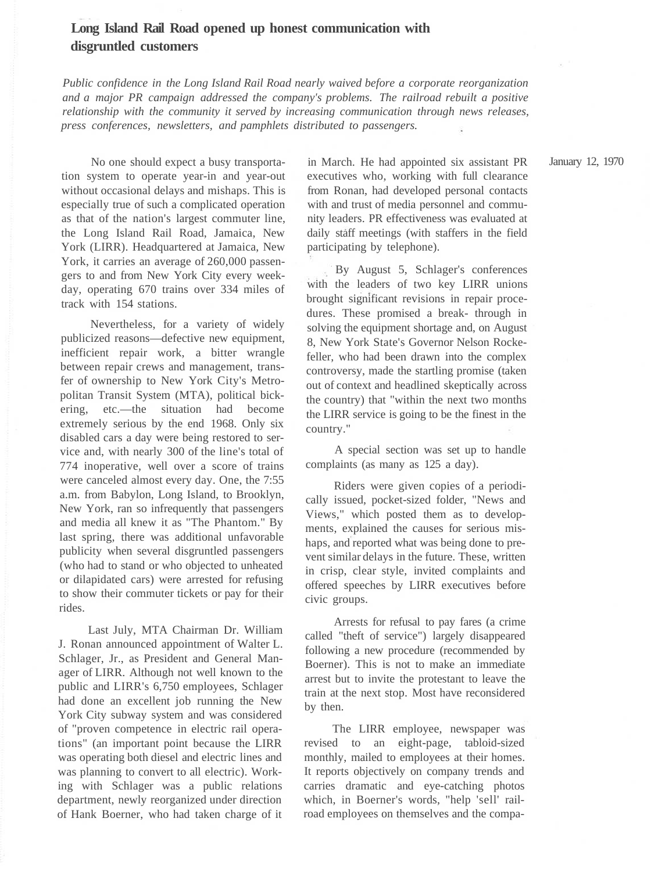## **Long Island Rail Road opened up honest communication with disgruntled customers**

*Public confidence in the Long Island Rail Road nearly waived before a corporate reorganization and a major PR campaign addressed the company's problems. The railroad rebuilt a positive relationship with the community it served by increasing communication through news releases, press conferences, newsletters, and pamphlets distributed to passengers.*

No one should expect a busy transportation system to operate year-in and year-out without occasional delays and mishaps. This is especially true of such a complicated operation as that of the nation's largest commuter line, the Long Island Rail Road, Jamaica, New York (LIRR). Headquartered at Jamaica, New York, it carries an average of 260,000 passengers to and from New York City every weekday, operating 670 trains over 334 miles of track with 154 stations.

Nevertheless, for a variety of widely publicized reasons—defective new equipment, inefficient repair work, a bitter wrangle between repair crews and management, transfer of ownership to New York City's Metropolitan Transit System (MTA), political bickering, etc.—the situation had become extremely serious by the end 1968. Only six disabled cars a day were being restored to service and, with nearly 300 of the line's total of 774 inoperative, well over a score of trains were canceled almost every day. One, the 7:55 a.m. from Babylon, Long Island, to Brooklyn, New York, ran so infrequently that passengers and media all knew it as "The Phantom." By last spring, there was additional unfavorable publicity when several disgruntled passengers (who had to stand or who objected to unheated or dilapidated cars) were arrested for refusing to show their commuter tickets or pay for their rides.

Last July, MTA Chairman Dr. William J. Ronan announced appointment of Walter L. Schlager, Jr., as President and General Manager of LIRR. Although not well known to the public and LIRR's 6,750 employees, Schlager had done an excellent job running the New York City subway system and was considered of "proven competence in electric rail operations" (an important point because the LIRR was operating both diesel and electric lines and was planning to convert to all electric). Working with Schlager was a public relations department, newly reorganized under direction of Hank Boerner, who had taken charge of it

in March. He had appointed six assistant PR executives who, working with full clearance from Ronan, had developed personal contacts with and trust of media personnel and community leaders. PR effectiveness was evaluated at daily staff meetings (with staffers in the field participating by telephone).

By August 5, Schlager's conferences with the leaders of two key LIRR unions brought significant revisions in repair procedures. These promised a break- through in solving the equipment shortage and, on August 8, New York State's Governor Nelson Rockefeller, who had been drawn into the complex controversy, made the startling promise (taken out of context and headlined skeptically across the country) that "within the next two months the LIRR service is going to be the finest in the country."

A special section was set up to handle complaints (as many as 125 a day).

Riders were given copies of a periodically issued, pocket-sized folder, "News and Views," which posted them as to developments, explained the causes for serious mishaps, and reported what was being done to prevent similar delays in the future. These, written in crisp, clear style, invited complaints and offered speeches by LIRR executives before civic groups.

Arrests for refusal to pay fares (a crime called "theft of service") largely disappeared following a new procedure (recommended by Boerner). This is not to make an immediate arrest but to invite the protestant to leave the train at the next stop. Most have reconsidered by then.

The LIRR employee, newspaper was revised to an eight-page, tabloid-sized monthly, mailed to employees at their homes. It reports objectively on company trends and carries dramatic and eye-catching photos which, in Boerner's words, "help 'sell' railroad employees on themselves and the compaJanuary 12, 1970